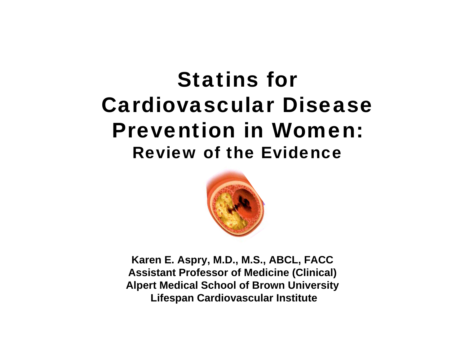# Statins for Cardiovascular Disease Prevention in Women:Review of the Evidence



**Karen E. Aspry, M.D., M.S., ABCL, FACC Assistant Professor of Medicine (Clinical) Alpert Medical School of Brown University Lifespan Cardiovascular Institute**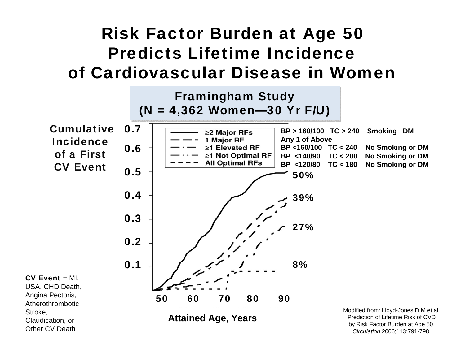#### Risk Factor Burden at Age 50 Predicts Lifetime Incidenceof Cardiovascular Disease in Women

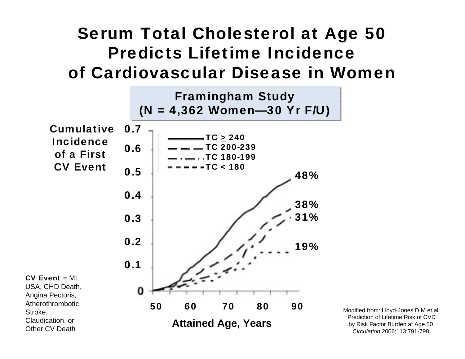#### Serum Total Cholesterol at Age 50 Predicts Lifetime Incidenceof Cardiovascular Disease in Women



Modified from: Lloyd-Jones D M et al. Prediction of Lifetime Risk of CVD by Risk Factor Burden at Age 50. *Circulation* 2006;113:791-798.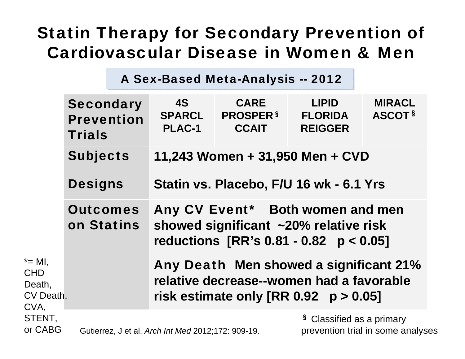### Statin Therapy for Secondary Prevention of Cardiovascular Disease in Women & Men

A Sex-Based Meta-Analysis -- 2012

|                                                         | <b>Secondary</b><br><b>Prevention</b><br><b>Trials</b> | <b>4S</b><br><b>SPARCL</b><br><b>PLAC-1</b>                                                                                   | <b>CARE</b><br><b>PROSPER §</b><br><b>CCAIT</b> | <b>LIPID</b><br><b>FLORIDA</b><br><b>REIGGER</b> | <b>MIRACL</b><br>ASCOT <sup>§</sup> |  |  |  |  |  |
|---------------------------------------------------------|--------------------------------------------------------|-------------------------------------------------------------------------------------------------------------------------------|-------------------------------------------------|--------------------------------------------------|-------------------------------------|--|--|--|--|--|
|                                                         | <b>Subjects</b>                                        | 11,243 Women + 31,950 Men + CVD                                                                                               |                                                 |                                                  |                                     |  |  |  |  |  |
|                                                         | <b>Designs</b>                                         | Statin vs. Placebo, F/U 16 wk - 6.1 Yrs                                                                                       |                                                 |                                                  |                                     |  |  |  |  |  |
|                                                         | <b>Outcomes</b><br>on Statins                          | Any CV Event* Both women and men<br>showed significant ~20% relative risk<br>reductions $[RR's 0.81 - 0.82 p < 0.05]$         |                                                 |                                                  |                                     |  |  |  |  |  |
| $* = MI$ ,<br><b>CHD</b><br>Death,<br>CV Death,<br>CVA, |                                                        | Any Death Men showed a significant 21%<br>relative decrease--women had a favorable<br>risk estimate only $[RR 0.92 p > 0.05]$ |                                                 |                                                  |                                     |  |  |  |  |  |
| STENT,<br>or CABG                                       | Gutierrez, J et al. Arch Int Med 2012;172: 909-19.     |                                                                                                                               |                                                 | <sup>§</sup> Classified as a primary             | prevention trial in some analyses   |  |  |  |  |  |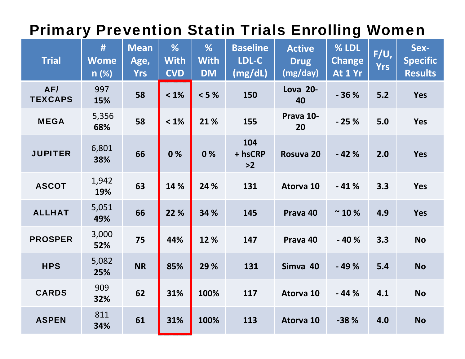#### Primary Prevention Statin Trials Enrolling Women

| <b>Trial</b>          | #<br><b>Wome</b><br>n(%) | <b>Mean</b><br>Age,<br><b>Yrs</b> | %<br><b>With</b><br><b>CVD</b> | %<br><b>With</b><br><b>DM</b> | <b>Baseline</b><br>LDL-C<br>(mg/dL) | <b>Active</b><br><b>Drug</b><br>(mg/day) | % LDL<br><b>Change</b><br>At 1 Yr | $F/U$ ,<br><b>Yrs</b> | Sex-<br><b>Specific</b><br><b>Results</b> |
|-----------------------|--------------------------|-----------------------------------|--------------------------------|-------------------------------|-------------------------------------|------------------------------------------|-----------------------------------|-----------------------|-------------------------------------------|
| AF/<br><b>TEXCAPS</b> | 997<br>15%               | 58                                | $< 1\%$                        | < 5%                          | 150                                 | <b>Lova 20-</b><br>40                    | $-36%$                            | $5.2$                 | <b>Yes</b>                                |
| <b>MEGA</b>           | 5,356<br>68%             | 58                                | $< 1\%$                        | 21 %                          | 155                                 | Prava 10-<br>20                          | $-25%$                            | 5.0                   | <b>Yes</b>                                |
| <b>JUPITER</b>        | 6,801<br>38%             | 66                                | 0%                             | 0%                            | 104<br>+ hsCRP<br>$>2$              | Rosuva 20                                | $-42%$                            | 2.0                   | <b>Yes</b>                                |
| <b>ASCOT</b>          | 1,942<br>19%             | 63                                | 14 %                           | 24 %                          | 131                                 | Atorva 10                                | $-41%$                            | 3.3                   | <b>Yes</b>                                |
| <b>ALLHAT</b>         | 5,051<br>49%             | 66                                | 22 %                           | 34 %                          | 145                                 | Prava 40                                 | $~^{\sim}$ 10 %                   | 4.9                   | <b>Yes</b>                                |
| <b>PROSPER</b>        | 3,000<br>52%             | 75                                | 44%                            | 12 %                          | 147                                 | Prava 40                                 | $-40%$                            | 3.3                   | <b>No</b>                                 |
| <b>HPS</b>            | 5,082<br>25%             | <b>NR</b>                         | 85%                            | 29 %                          | 131                                 | Simva 40                                 | $-49%$                            | 5.4                   | <b>No</b>                                 |
| <b>CARDS</b>          | 909<br>32%               | 62                                | 31%                            | 100%                          | 117                                 | Atorva 10                                | $-44%$                            | 4.1                   | <b>No</b>                                 |
| <b>ASPEN</b>          | 811<br>34%               | 61                                | 31%                            | 100%                          | 113                                 | Atorva 10                                | $-38%$                            | 4.0                   | <b>No</b>                                 |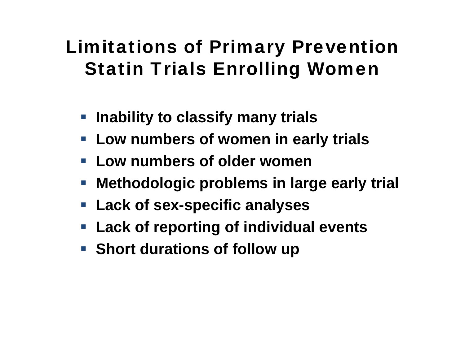## Limitations of Primary Prevention Statin Trials Enrolling Women

- **Inability to classify many trials**
- **Low numbers of women in early trials**
- **Low numbers of older women**
- **Methodologic problems in large early trial**
- **Lack of sex-specific analyses**
- **Lack of reporting of individual events**
- **Short durations of follow up**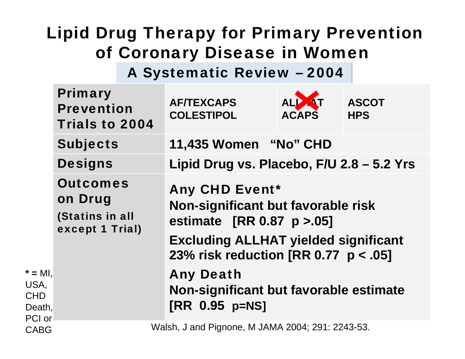### Lipid Drug Therapy for Primary Prevention of Coronary Disease in Women

A Systematic Review – 2004 A Systematic Review – 2004

|                                                     | <b>Primary</b><br><b>Prevention</b><br><b>Trials to 2004</b>     |  | <b>AF/TEXCAPS</b><br><b>COLESTIPOL</b>                                                                                                                                             | ALP <b>AT</b><br><b>ACAPS</b> | <b>ASCOT</b><br><b>HPS</b> |  |  |
|-----------------------------------------------------|------------------------------------------------------------------|--|------------------------------------------------------------------------------------------------------------------------------------------------------------------------------------|-------------------------------|----------------------------|--|--|
|                                                     | <b>Subjects</b>                                                  |  | 11,435 Women "No" CHD                                                                                                                                                              |                               |                            |  |  |
|                                                     | <b>Designs</b>                                                   |  | Lipid Drug vs. Placebo, F/U 2.8 - 5.2 Yrs                                                                                                                                          |                               |                            |  |  |
|                                                     | <b>Outcomes</b><br>on Drug<br>(Statins in all<br>except 1 Trial) |  | <b>Any CHD Event*</b><br>Non-significant but favorable risk<br>estimate [RR 0.87 p > 05]<br><b>Excluding ALLHAT yielded significant</b><br>23% risk reduction [RR 0.77 $p < .05$ ] |                               |                            |  |  |
| $* = MI,$<br>USA,<br><b>CHD</b><br>Death,<br>PCI or |                                                                  |  | <b>Any Death</b><br>Non-significant but favorable estimate<br>[RR 0.95 p=NS]                                                                                                       |                               |                            |  |  |
| <b>CABG</b>                                         | Walsh, J and Pignone, M JAMA 2004; 291: 2243-53.                 |  |                                                                                                                                                                                    |                               |                            |  |  |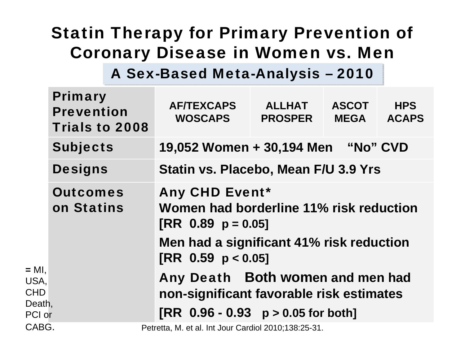### Statin Therapy for Primary Prevention of Coronary Disease in Women vs. Men

A Sex-Based Meta-Analysis - 2010

|                                | <b>Primary</b><br><b>Prevention</b><br>Trials to 2008 | <b>AF/TEXCAPS</b><br><b>WOSCAPS</b>                                                                                                      | <b>ALLHAT</b><br><b>PROSPER</b>                                              | <b>ASCOT</b><br><b>MEGA</b> | <b>HPS</b><br><b>ACAPS</b> |  |  |  |  |  |
|--------------------------------|-------------------------------------------------------|------------------------------------------------------------------------------------------------------------------------------------------|------------------------------------------------------------------------------|-----------------------------|----------------------------|--|--|--|--|--|
|                                | <b>Subjects</b>                                       | 19,052 Women + 30,194 Men "No" CVD                                                                                                       |                                                                              |                             |                            |  |  |  |  |  |
|                                | <b>Designs</b>                                        | Statin vs. Placebo, Mean F/U 3.9 Yrs                                                                                                     |                                                                              |                             |                            |  |  |  |  |  |
|                                | <b>Outcomes</b><br>on Statins                         | <b>Any CHD Event*</b><br>Women had borderline 11% risk reduction<br>$[RR \ 0.89 \ p = 0.05]$<br>Men had a significant 41% risk reduction |                                                                              |                             |                            |  |  |  |  |  |
|                                |                                                       | $[RR \ 0.59 \ p < 0.05]$                                                                                                                 |                                                                              |                             |                            |  |  |  |  |  |
| $= MI$ ,<br>USA,<br><b>CHD</b> |                                                       |                                                                                                                                          | Any Death Both women and men had<br>non-significant favorable risk estimates |                             |                            |  |  |  |  |  |
| Death,<br>PCI or               |                                                       |                                                                                                                                          | $[RR \ 0.96 - 0.93 \ p > 0.05$ for both]                                     |                             |                            |  |  |  |  |  |
| CABG.                          |                                                       |                                                                                                                                          | Petretta, M. et al. Int Jour Cardiol 2010;138:25-31.                         |                             |                            |  |  |  |  |  |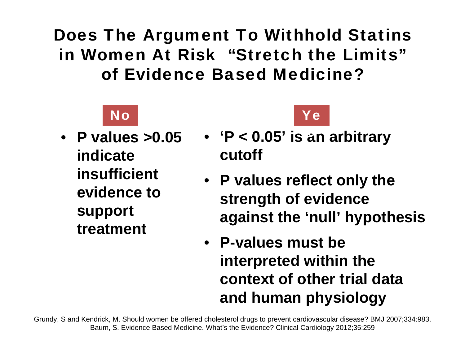Does The Argument To Withhold Statins in Women At Risk "Stretch the Limits"of Evidence Based Medicine?



• **P values >0.05 indicate insufficient evidence to support treatment** 



- **'P < 0.05' is an arbitrary**  s **cutoff**
- **P values reflect only the strength of evidence against the 'null' hypothesis**
- **P-values must be interpreted within the context of other trial data and human physiology**

Grundy, S and Kendrick, M. Should women be offered cholesterol drugs to prevent cardiovascular disease? BMJ 2007;334:983. Baum, S. Evidence Based Medicine. What's the Evidence? Clinical Cardiology 2012;35:259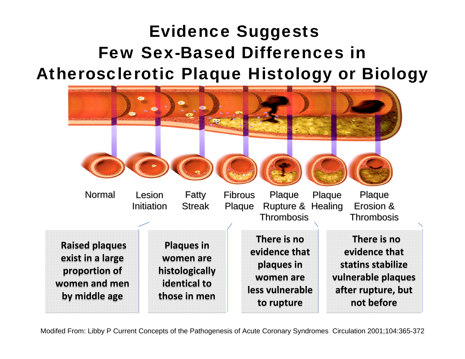### Evidence Suggests Few Sex-Based Differences in Atherosclerotic Plaque Histology or Biology



Modifed From: Libby P Current Concepts of the Pathogenesis of Acute Coronary Syndromes Circulation 2001;104:365-372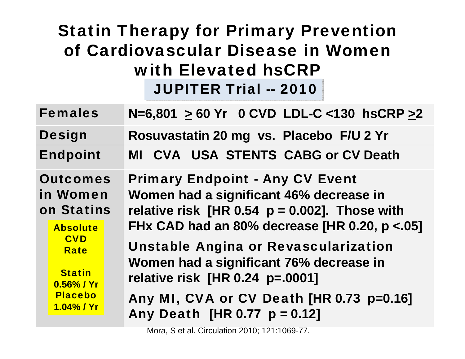#### Statin Therapy for Primary Prevention of Cardiovascular Disease in Women with Elevated hsCRP JUPITER Trial -- 2010 JUPITER Trial -- 2010

| <b>Females</b>                                               |                                                                                                | $N=6,801$ > 60 Yr 0 CVD LDL-C <130 hsCRP >2                                                                                                                                            |  |  |  |  |  |  |
|--------------------------------------------------------------|------------------------------------------------------------------------------------------------|----------------------------------------------------------------------------------------------------------------------------------------------------------------------------------------|--|--|--|--|--|--|
|                                                              | <b>Design</b>                                                                                  | Rosuvastatin 20 mg vs. Placebo F/U 2 Yr                                                                                                                                                |  |  |  |  |  |  |
| <b>Endpoint</b>                                              |                                                                                                | MI CVA USA STENTS CABG or CV Death                                                                                                                                                     |  |  |  |  |  |  |
| <b>Outcomes</b><br>in Women<br>on Statins<br><b>Absolute</b> |                                                                                                | <b>Primary Endpoint - Any CV Event</b><br>Women had a significant 46% decrease in<br>relative risk [HR 0.54 $p = 0.002$ ]. Those with<br>FHx CAD had an 80% decrease [HR 0.20, p <.05] |  |  |  |  |  |  |
|                                                              | <b>CVD</b><br><b>Rate</b><br><b>Statin</b><br>$0.56\%$ / Yr<br><b>Placebo</b><br>$1.04\%$ / Yr | <b>Unstable Angina or Revascularization</b><br>Women had a significant 76% decrease in<br>relative risk [HR 0.24 p=.0001]                                                              |  |  |  |  |  |  |
|                                                              |                                                                                                | Any MI, CVA or CV Death [HR 0.73 p=0.16]<br>Any Death [HR 0.77 $p = 0.12$ ]                                                                                                            |  |  |  |  |  |  |

Mora, S et al. Circulation 2010; 121:1069-77.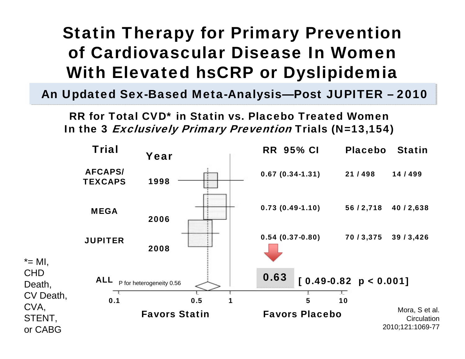### Statin Therapy for Primary Prevention of Cardiovascular Disease In Women With Elevated hsCRP or Dyslipidemia

An Updated Sex-Based Meta-Analysis—Post JUPITER - 2010

RR for Total CVD\* in Statin vs. Placebo Treated WomenIn the 3 *Exclusively Primary Prevention* Trials (N=13,154)

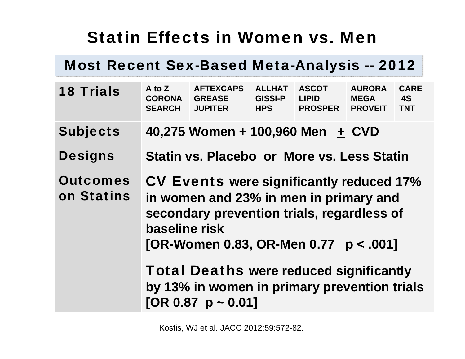### Statin Effects in Women vs. Men

#### Most Recent Sex-Based Meta-Analysis -- 2012

| <b>18 Trials</b>              | $A$ to $Z$<br><b>CORONA</b><br><b>SEARCH</b>                                                                                                                                                                                                                                                                                       | <b>AFTEXCAPS</b><br><b>GREASE</b><br><b>JUPITER</b> | <b>ALLHAT</b><br><b>GISSI-P</b><br><b>HPS</b> | <b>ASCOT</b><br><b>LIPID</b><br><b>PROSPER</b> | <b>AURORA</b><br><b>MEGA</b><br><b>PROVEIT</b> | <b>CARE</b><br><b>4S</b><br><b>TNT</b> |  |  |  |  |
|-------------------------------|------------------------------------------------------------------------------------------------------------------------------------------------------------------------------------------------------------------------------------------------------------------------------------------------------------------------------------|-----------------------------------------------------|-----------------------------------------------|------------------------------------------------|------------------------------------------------|----------------------------------------|--|--|--|--|
| <b>Subjects</b>               |                                                                                                                                                                                                                                                                                                                                    | 40,275 Women + 100,960 Men + CVD                    |                                               |                                                |                                                |                                        |  |  |  |  |
| <b>Designs</b>                |                                                                                                                                                                                                                                                                                                                                    | <b>Statin vs. Placebo or More vs. Less Statin</b>   |                                               |                                                |                                                |                                        |  |  |  |  |
| <b>Outcomes</b><br>on Statins | <b>CV Events were significantly reduced 17%</b><br>in women and 23% in men in primary and<br>secondary prevention trials, regardless of<br>baseline risk<br>[OR-Women 0.83, OR-Men 0.77 $p < .001$ ]<br><b>Total Deaths were reduced significantly</b><br>by 13% in women in primary prevention trials<br>[OR 0.87 $p \sim 0.01$ ] |                                                     |                                               |                                                |                                                |                                        |  |  |  |  |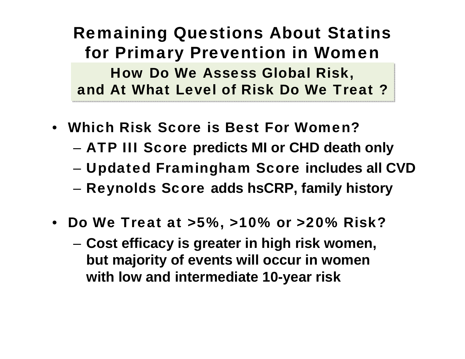Remaining Questions About Statins for Primary Prevention in Women How Do We Assess Global Risk, How Do We Assess Global Risk, and At What Level of Risk Do We Treat ?

- Which Risk Score is Best For Women?
	- ATP III Score **predicts MI or CHD death only**
	- Updated Framingham Score **includes all CVD**
	- Reynolds Score **adds hsCRP, family history**
- Do We Treat at >5%, >10% or >20% Risk?
	- **Cost efficacy is greater in high risk women, but majority of events will occur in women with low and intermediate 10-year risk**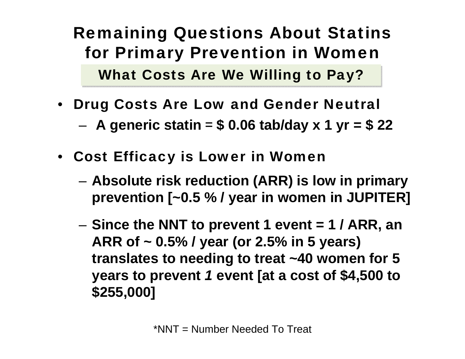### Remaining Questions About Statins for Primary Prevention in Women

What Costs Are We Willing to Pay?

 $\bullet$ Drug Costs Are Low and Gender Neutral

**A generic statin**  = **\$ 0.06 tab/day x 1 yr = \$ 22** 

- Cost Efficacy is Lower in Women
	- **Absolute risk reduction (ARR) is low in primary prevention [~0.5 % / year in women in JUPITER]**
	- – **Since the NNT to prevent 1 event = 1 / ARR, an ARR of ~ 0.5% / year (or 2.5% in 5 years) translates to needing to treat ~40 women for 5 years to prevent** *1* **event [at a cost of \$4,500 to \$255,000]**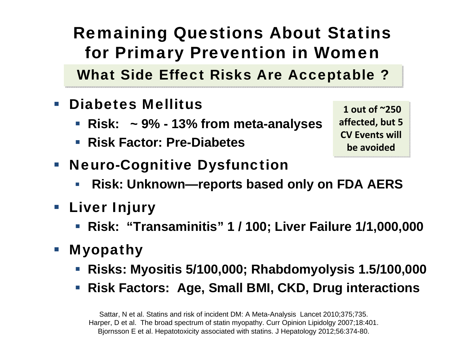### Remaining Questions About Statins for Primary Prevention in Women

What Side Effect Risks Are Acceptable ?

- $\overline{\phantom{a}}$  Diabetes Mellitus
	- **Risk: ~ 9% - 13% from meta-analyses**
	- **Risk Factor: Pre-Diabetes**

**1 out of ~250 1 out of ~250 affected, but 5affected, but 5 CV Events will CV Events will be** avoided

- **Neuro-Cognitive Dysfunction** 
	- $\mathcal{L}_{\mathcal{A}}$ **Risk: Unknown—reports based only on FDA AERS**
- **Liver Injury** 
	- **Risk: "Transaminitis" 1 / 100; Liver Failure 1/1,000,000**
- Myopathy
	- **Risks: Myositis 5/100,000; Rhabdomyolysis 1.5/100,000**
	- **Risk Factors: Age, Small BMI, CKD, Drug interactions**

Sattar, N et al. Statins and risk of incident DM: A Meta-Analysis Lancet 2010;375;735. Harper, D et al. The broad spectrum of statin myopathy. Curr Opinion Lipidolgy 2007;18:401. Bjornsson E et al. Hepatotoxicity associated with statins. J Hepatology 2012;56:374-80.